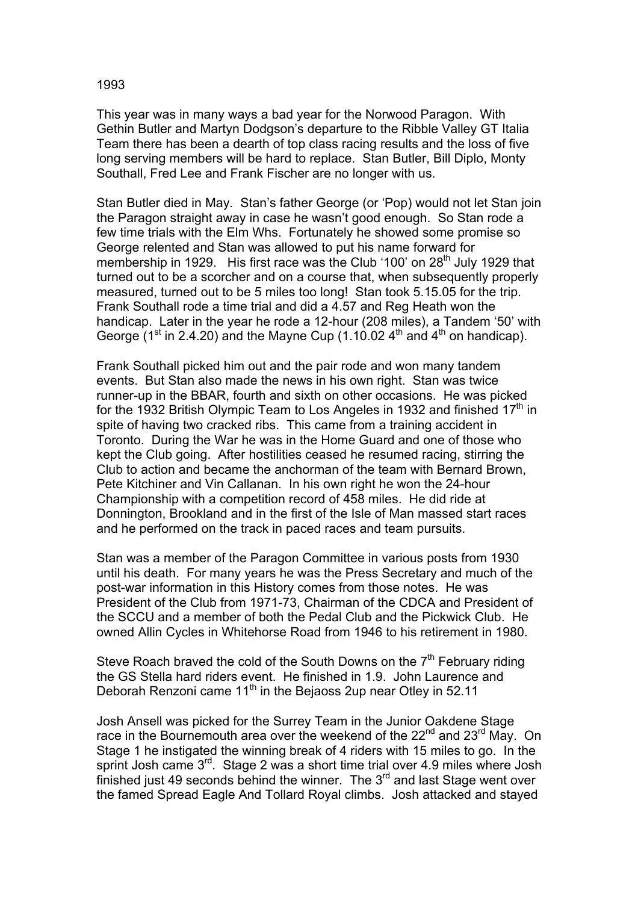## 1993

This year was in many ways a bad year for the Norwood Paragon. With Gethin Butler and Martyn Dodgson's departure to the Ribble Valley GT Italia Team there has been a dearth of top class racing results and the loss of five long serving members will be hard to replace. Stan Butler, Bill Diplo, Monty Southall, Fred Lee and Frank Fischer are no longer with us.

Stan Butler died in May. Stan's father George (or 'Pop) would not let Stan join the Paragon straight away in case he wasn't good enough. So Stan rode a few time trials with the Elm Whs. Fortunately he showed some promise so George relented and Stan was allowed to put his name forward for membership in 1929. His first race was the Club '100' on 28<sup>th</sup> July 1929 that turned out to be a scorcher and on a course that, when subsequently properly measured, turned out to be 5 miles too long! Stan took 5.15.05 for the trip. Frank Southall rode a time trial and did a 4.57 and Reg Heath won the handicap. Later in the year he rode a 12-hour (208 miles), a Tandem '50' with George ( $1<sup>st</sup>$  in 2.4.20) and the Mayne Cup (1.10.02  $4<sup>th</sup>$  and  $4<sup>th</sup>$  on handicap).

Frank Southall picked him out and the pair rode and won many tandem events. But Stan also made the news in his own right. Stan was twice runner-up in the BBAR, fourth and sixth on other occasions. He was picked for the 1932 British Olympic Team to Los Angeles in 1932 and finished  $17<sup>th</sup>$  in spite of having two cracked ribs. This came from a training accident in Toronto. During the War he was in the Home Guard and one of those who kept the Club going. After hostilities ceased he resumed racing, stirring the Club to action and became the anchorman of the team with Bernard Brown, Pete Kitchiner and Vin Callanan. In his own right he won the 24-hour Championship with a competition record of 458 miles. He did ride at Donnington, Brookland and in the first of the Isle of Man massed start races and he performed on the track in paced races and team pursuits.

Stan was a member of the Paragon Committee in various posts from 1930 until his death. For many years he was the Press Secretary and much of the post-war information in this History comes from those notes. He was President of the Club from 1971-73, Chairman of the CDCA and President of the SCCU and a member of both the Pedal Club and the Pickwick Club. He owned Allin Cycles in Whitehorse Road from 1946 to his retirement in 1980.

Steve Roach braved the cold of the South Downs on the  $7<sup>th</sup>$  February riding the GS Stella hard riders event. He finished in 1.9. John Laurence and Deborah Renzoni came  $11<sup>th</sup>$  in the Bejaoss 2up near Otley in 52.11

Josh Ansell was picked for the Surrey Team in the Junior Oakdene Stage race in the Bournemouth area over the weekend of the  $22<sup>nd</sup>$  and  $23<sup>rd</sup>$  May. On Stage 1 he instigated the winning break of 4 riders with 15 miles to go. In the sprint Josh came 3<sup>rd</sup>. Stage 2 was a short time trial over 4.9 miles where Josh finished just 49 seconds behind the winner. The  $3<sup>rd</sup>$  and last Stage went over the famed Spread Eagle And Tollard Royal climbs. Josh attacked and stayed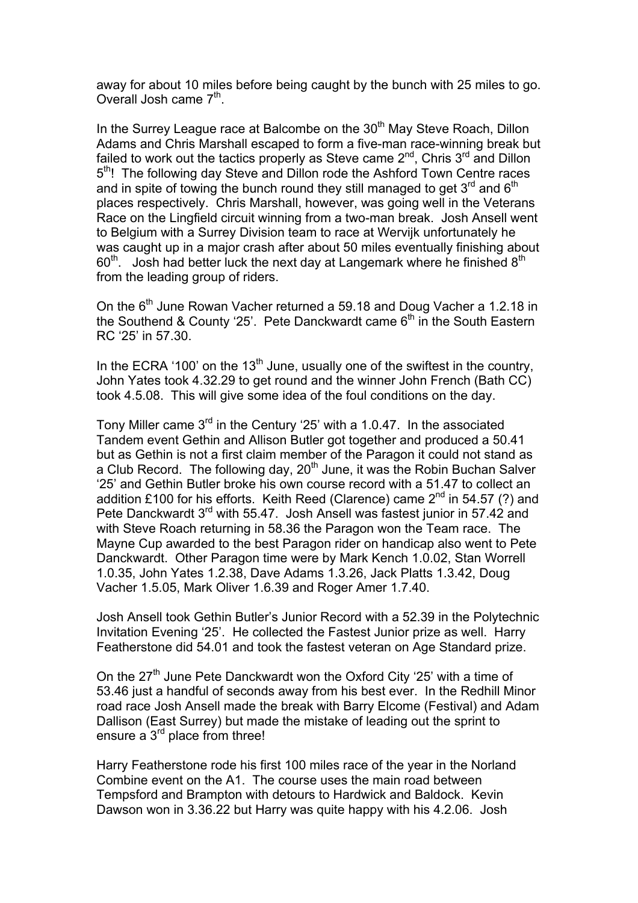away for about 10 miles before being caught by the bunch with 25 miles to go. Overall Josh came  $7<sup>th</sup>$ .

In the Surrey League race at Balcombe on the 30<sup>th</sup> May Steve Roach, Dillon Adams and Chris Marshall escaped to form a five-man race-winning break but failed to work out the tactics properly as Steve came 2<sup>nd</sup>, Chris 3<sup>rd</sup> and Dillon 5<sup>th</sup>! The following day Steve and Dillon rode the Ashford Town Centre races and in spite of towing the bunch round they still managed to get  $3<sup>rd</sup>$  and  $6<sup>th</sup>$ places respectively. Chris Marshall, however, was going well in the Veterans Race on the Lingfield circuit winning from a two-man break. Josh Ansell went to Belgium with a Surrey Division team to race at Wervijk unfortunately he was caught up in a major crash after about 50 miles eventually finishing about  $60<sup>th</sup>$ . Josh had better luck the next day at Langemark where he finished  $8<sup>th</sup>$ from the leading group of riders.

On the  $6<sup>th</sup>$  June Rowan Vacher returned a 59.18 and Doug Vacher a 1.2.18 in the Southend & County '25'. Pete Danckwardt came  $6<sup>th</sup>$  in the South Eastern RC '25' in 57.30.

In the ECRA '100' on the 13<sup>th</sup> June, usually one of the swiftest in the country, John Yates took 4.32.29 to get round and the winner John French (Bath CC) took 4.5.08. This will give some idea of the foul conditions on the day.

Tony Miller came 3rd in the Century '25' with a 1.0.47. In the associated Tandem event Gethin and Allison Butler got together and produced a 50.41 but as Gethin is not a first claim member of the Paragon it could not stand as a Club Record. The following day,  $20<sup>th</sup>$  June, it was the Robin Buchan Salver '25' and Gethin Butler broke his own course record with a 51.47 to collect an addition £100 for his efforts. Keith Reed (Clarence) came  $2^{nd}$  in 54.57 (?) and Pete Danckwardt 3<sup>rd</sup> with 55.47. Josh Ansell was fastest junior in 57.42 and with Steve Roach returning in 58.36 the Paragon won the Team race. The Mayne Cup awarded to the best Paragon rider on handicap also went to Pete Danckwardt. Other Paragon time were by Mark Kench 1.0.02, Stan Worrell 1.0.35, John Yates 1.2.38, Dave Adams 1.3.26, Jack Platts 1.3.42, Doug Vacher 1.5.05, Mark Oliver 1.6.39 and Roger Amer 1.7.40.

Josh Ansell took Gethin Butler's Junior Record with a 52.39 in the Polytechnic Invitation Evening '25'. He collected the Fastest Junior prize as well. Harry Featherstone did 54.01 and took the fastest veteran on Age Standard prize.

On the  $27<sup>th</sup>$  June Pete Danckwardt won the Oxford City '25' with a time of 53.46 just a handful of seconds away from his best ever. In the Redhill Minor road race Josh Ansell made the break with Barry Elcome (Festival) and Adam Dallison (East Surrey) but made the mistake of leading out the sprint to ensure a 3<sup>rd</sup> place from three!

Harry Featherstone rode his first 100 miles race of the year in the Norland Combine event on the A1. The course uses the main road between Tempsford and Brampton with detours to Hardwick and Baldock. Kevin Dawson won in 3.36.22 but Harry was quite happy with his 4.2.06. Josh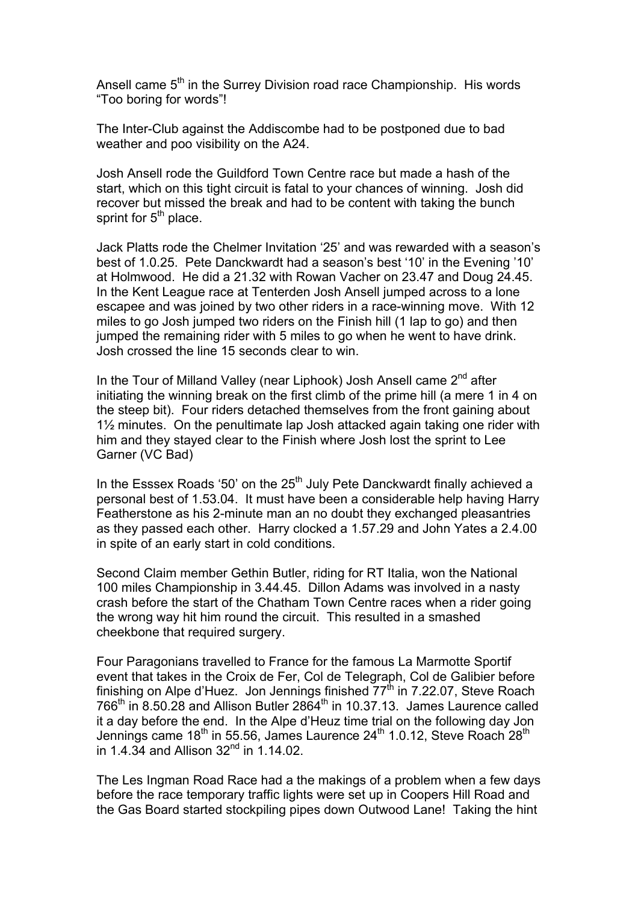Ansell came  $5<sup>th</sup>$  in the Surrey Division road race Championship. His words "Too boring for words"!

The Inter-Club against the Addiscombe had to be postponed due to bad weather and poo visibility on the A24.

Josh Ansell rode the Guildford Town Centre race but made a hash of the start, which on this tight circuit is fatal to your chances of winning. Josh did recover but missed the break and had to be content with taking the bunch sprint for  $5<sup>th</sup>$  place.

Jack Platts rode the Chelmer Invitation '25' and was rewarded with a season's best of 1.0.25. Pete Danckwardt had a season's best '10' in the Evening '10' at Holmwood. He did a 21.32 with Rowan Vacher on 23.47 and Doug 24.45. In the Kent League race at Tenterden Josh Ansell jumped across to a lone escapee and was joined by two other riders in a race-winning move. With 12 miles to go Josh jumped two riders on the Finish hill (1 lap to go) and then jumped the remaining rider with 5 miles to go when he went to have drink. Josh crossed the line 15 seconds clear to win.

In the Tour of Milland Valley (near Liphook) Josh Ansell came  $2^{nd}$  after initiating the winning break on the first climb of the prime hill (a mere 1 in 4 on the steep bit). Four riders detached themselves from the front gaining about 1½ minutes. On the penultimate lap Josh attacked again taking one rider with him and they stayed clear to the Finish where Josh lost the sprint to Lee Garner (VC Bad)

In the Esssex Roads '50' on the 25<sup>th</sup> July Pete Danckwardt finally achieved a personal best of 1.53.04. It must have been a considerable help having Harry Featherstone as his 2-minute man an no doubt they exchanged pleasantries as they passed each other. Harry clocked a 1.57.29 and John Yates a 2.4.00 in spite of an early start in cold conditions.

Second Claim member Gethin Butler, riding for RT Italia, won the National 100 miles Championship in 3.44.45. Dillon Adams was involved in a nasty crash before the start of the Chatham Town Centre races when a rider going the wrong way hit him round the circuit. This resulted in a smashed cheekbone that required surgery.

Four Paragonians travelled to France for the famous La Marmotte Sportif event that takes in the Croix de Fer, Col de Telegraph, Col de Galibier before finishing on Alpe d'Huez. Jon Jennings finished  $77<sup>th</sup>$  in 7.22.07, Steve Roach  $766<sup>th</sup>$  in 8.50.28 and Allison Butler 2864<sup>th</sup> in 10.37.13. James Laurence called it a day before the end. In the Alpe d'Heuz time trial on the following day Jon Jennings came  $18^{th}$  in 55.56, James Laurence 24<sup>th</sup> 1.0.12, Steve Roach 28<sup>th</sup> in 1.4.34 and Allison 32<sup>nd</sup> in 1.14.02.

The Les Ingman Road Race had a the makings of a problem when a few days before the race temporary traffic lights were set up in Coopers Hill Road and the Gas Board started stockpiling pipes down Outwood Lane! Taking the hint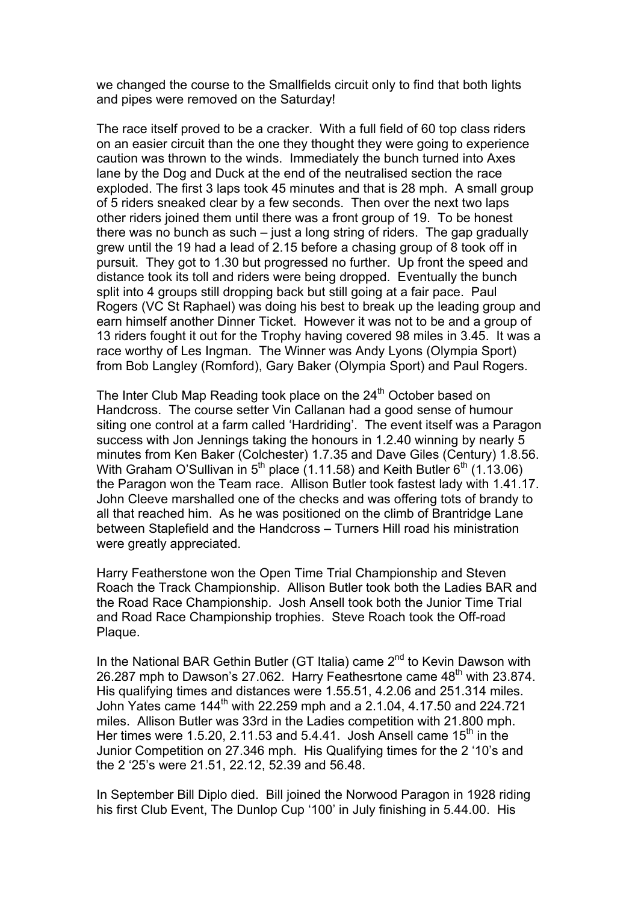we changed the course to the Smallfields circuit only to find that both lights and pipes were removed on the Saturday!

The race itself proved to be a cracker. With a full field of 60 top class riders on an easier circuit than the one they thought they were going to experience caution was thrown to the winds. Immediately the bunch turned into Axes lane by the Dog and Duck at the end of the neutralised section the race exploded. The first 3 laps took 45 minutes and that is 28 mph. A small group of 5 riders sneaked clear by a few seconds. Then over the next two laps other riders joined them until there was a front group of 19. To be honest there was no bunch as such – just a long string of riders. The gap gradually grew until the 19 had a lead of 2.15 before a chasing group of 8 took off in pursuit. They got to 1.30 but progressed no further. Up front the speed and distance took its toll and riders were being dropped. Eventually the bunch split into 4 groups still dropping back but still going at a fair pace. Paul Rogers (VC St Raphael) was doing his best to break up the leading group and earn himself another Dinner Ticket. However it was not to be and a group of 13 riders fought it out for the Trophy having covered 98 miles in 3.45. It was a race worthy of Les Ingman. The Winner was Andy Lyons (Olympia Sport) from Bob Langley (Romford), Gary Baker (Olympia Sport) and Paul Rogers.

The Inter Club Map Reading took place on the 24<sup>th</sup> October based on Handcross. The course setter Vin Callanan had a good sense of humour siting one control at a farm called 'Hardriding'. The event itself was a Paragon success with Jon Jennings taking the honours in 1.2.40 winning by nearly 5 minutes from Ken Baker (Colchester) 1.7.35 and Dave Giles (Century) 1.8.56. With Graham O'Sullivan in  $5<sup>th</sup>$  place (1.11.58) and Keith Butler  $6<sup>th</sup>$  (1.13.06) the Paragon won the Team race. Allison Butler took fastest lady with 1.41.17. John Cleeve marshalled one of the checks and was offering tots of brandy to all that reached him. As he was positioned on the climb of Brantridge Lane between Staplefield and the Handcross – Turners Hill road his ministration were greatly appreciated.

Harry Featherstone won the Open Time Trial Championship and Steven Roach the Track Championship. Allison Butler took both the Ladies BAR and the Road Race Championship. Josh Ansell took both the Junior Time Trial and Road Race Championship trophies. Steve Roach took the Off-road Plaque.

In the National BAR Gethin Butler (GT Italia) came  $2^{nd}$  to Kevin Dawson with 26.287 mph to Dawson's 27.062. Harry Feathesrtone came  $48<sup>th</sup>$  with 23.874. His qualifying times and distances were 1.55.51, 4.2.06 and 251.314 miles. John Yates came  $144^{\text{th}}$  with 22.259 mph and a 2.1.04, 4.17.50 and 224.721 miles. Allison Butler was 33rd in the Ladies competition with 21.800 mph. Her times were 1.5.20, 2.11.53 and 5.4.41. Josh Ansell came 15<sup>th</sup> in the Junior Competition on 27.346 mph. His Qualifying times for the 2 '10's and the 2 '25's were 21.51, 22.12, 52.39 and 56.48.

In September Bill Diplo died. Bill joined the Norwood Paragon in 1928 riding his first Club Event, The Dunlop Cup '100' in July finishing in 5.44.00. His